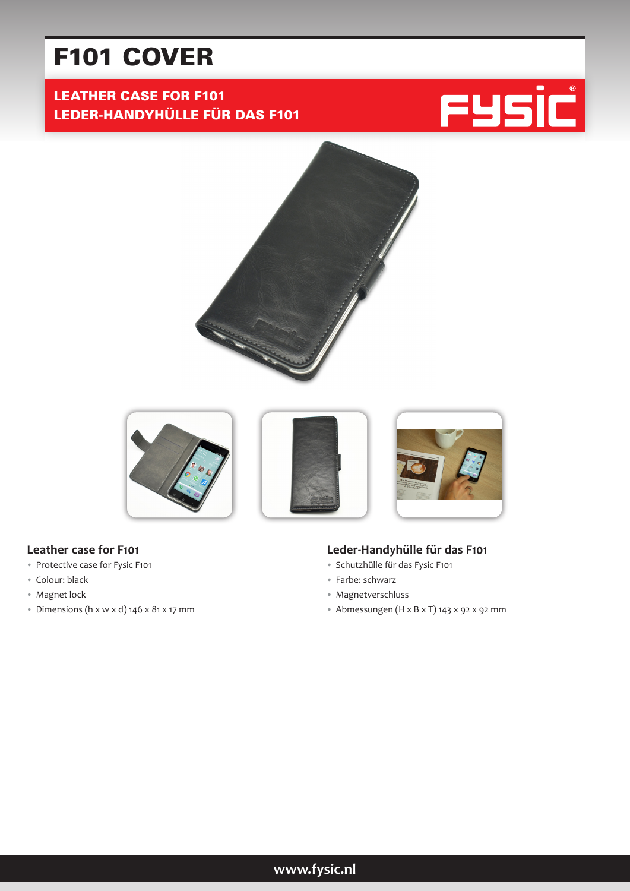# F101 COVER

# LEATHER CASE FOR F101 LEDER-HANDYHÜLLE FÜR DAS F101







#### **Leather case for F101**

- Protective case for Fysic F101
- Colour: black
- Magnet lock
- Dimensions (h  $x \le x d$ ) 146  $x$  81  $x$  17 mm

#### **Leder-Handyhülle für das F101**

- Schutzhülle für das Fysic F101
- Farbe: schwarz
- Magnetverschluss
- Abmessungen (H x B x T) 143 x 92 x 92 mm

# **www.fysic.nl**